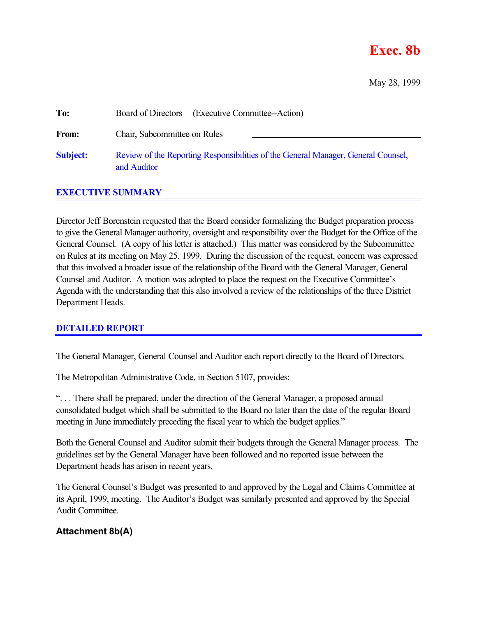# **Exec. 8b**

May 28, 1999

| To:             | Board of Directors (Executive Committee--Action)                                                 |
|-----------------|--------------------------------------------------------------------------------------------------|
| From:           | Chair, Subcommittee on Rules                                                                     |
| <b>Subject:</b> | Review of the Reporting Responsibilities of the General Manager, General Counsel,<br>and Auditor |

## **EXECUTIVE SUMMARY**

Director Jeff Borenstein requested that the Board consider formalizing the Budget preparation process to give the General Manager authority, oversight and responsibility over the Budget for the Office of the General Counsel. (A copy of his letter is attached.) This matter was considered by the Subcommittee on Rules at its meeting on May 25, 1999. During the discussion of the request, concern was expressed that this involved a broader issue of the relationship of the Board with the General Manager, General Counsel and Auditor. A motion was adopted to place the request on the Executive Committee's Agenda with the understanding that this also involved a review of the relationships of the three District Department Heads.

## **DETAILED REPORT**

The General Manager, General Counsel and Auditor each report directly to the Board of Directors.

The Metropolitan Administrative Code, in Section 5107, provides:

". . . There shall be prepared, under the direction of the General Manager, a proposed annual consolidated budget which shall be submitted to the Board no later than the date of the regular Board meeting in June immediately preceding the fiscal year to which the budget applies."

Both the General Counsel and Auditor submit their budgets through the General Manager process. The guidelines set by the General Manager have been followed and no reported issue between the Department heads has arisen in recent years.

The General Counsel's Budget was presented to and approved by the Legal and Claims Committee at its April, 1999, meeting. The Auditor's Budget was similarly presented and approved by the Special Audit Committee.

## **Attachment 8b(A)**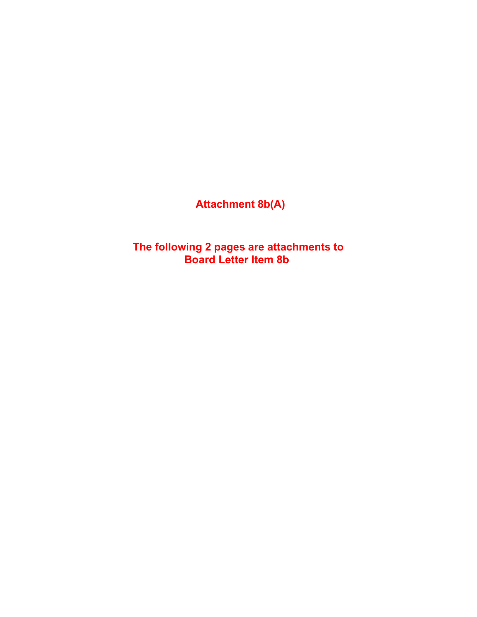**Attachment 8b(A)**

**The following 2 pages are attachments to Board Letter Item 8b**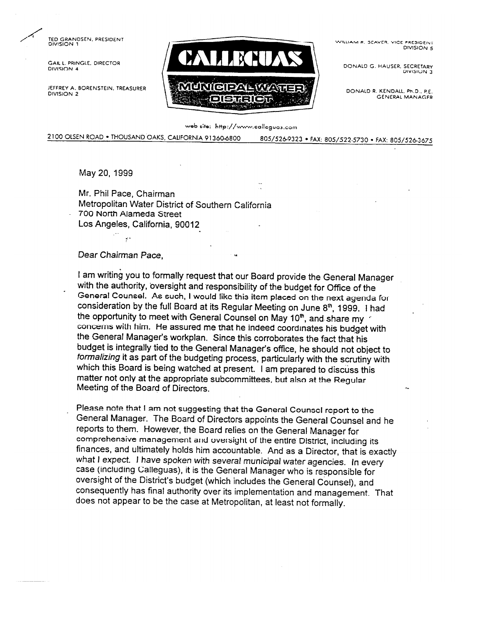TED GRANDSEN, PRESIDENT DIVISION 1

**GAILL PRINGLE, DIRECTOR** DIVISION 4

JEFFREY A. BORENSTEIN, TREASURER DIVISION 2



WILLIAM R. SEAVER, VICE PRESIDENT DIVISION 5

DONALD G. HAUSER, SECRETARY DIVISION 3

DONALD R. KENDALL, Ph.D., P.E. **GENERAL MANAGER** 

web site: http://www.calleguas.com

2100 OLSEN ROAD . THOUSAND OAKS, CALIFORNIA 91360-6800 805/526-9323 · FAX: 805/522-5730 · FAX: 805/526-3675

May 20, 1999

Mr. Phil Pace, Chairman

Metropolitan Water District of Southern California

700 North Alameda Street

Los Angeles, California, 90012

### Dear Chairman Pace.

I am writing you to formally request that our Board provide the General Manager with the authority, oversight and responsibility of the budget for Office of the General Counsel. As such, I would like this item placed on the next agenda for consideration by the full Board at its Regular Meeting on June 8th, 1999. I had the opportunity to meet with General Counsel on May 10<sup>th</sup>, and share my concerns with him. He assured me that he indeed coordinates his budget with the General Manager's workplan. Since this corroborates the fact that his budget is integrally tied to the General Manager's office, he should not object to formalizing it as part of the budgeting process, particularly with the scrutiny with which this Board is being watched at present. I am prepared to discuss this matter not only at the appropriate subcommittees, but also at the Regular Meeting of the Board of Directors.

Please note that I am not suggesting that the General Counsel report to the General Manager. The Board of Directors appoints the General Counsel and he reports to them. However, the Board relies on the General Manager for comprehensive management and oversight of the entire District, including its finances, and ultimately holds him accountable. And as a Director, that is exactly what I expect. I have spoken with several municipal water agencies. In every case (including Calleguas), it is the General Manager who is responsible for oversight of the District's budget (which includes the General Counsel), and consequently has final authority over its implementation and management. That does not appear to be the case at Metropolitan, at least not formally.